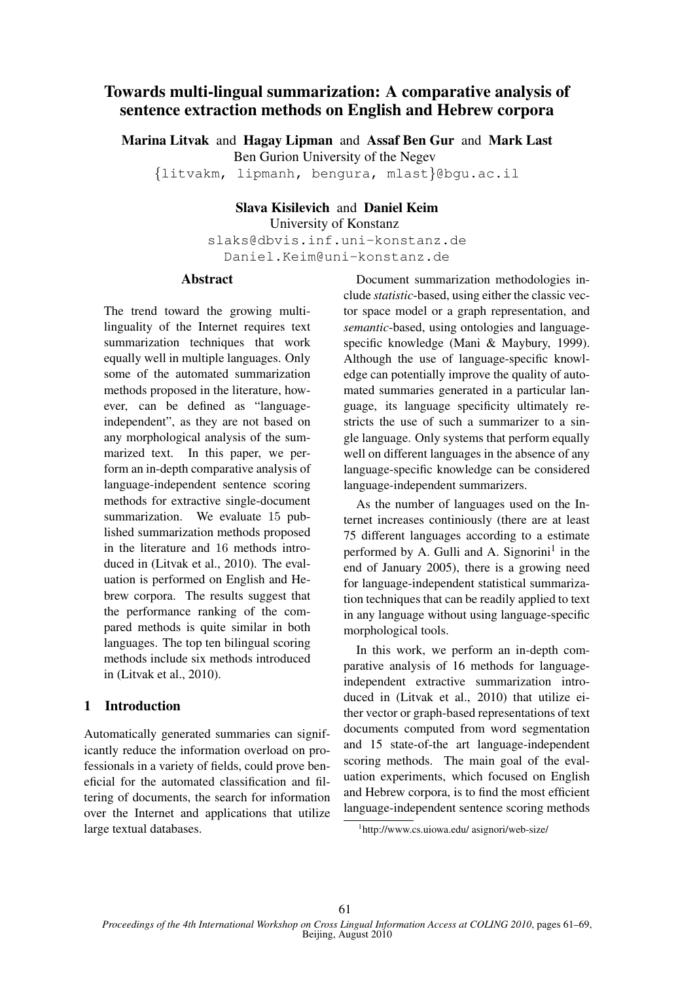# Towards multi-lingual summarization: A comparative analysis of sentence extraction methods on English and Hebrew corpora

Marina Litvak and Hagay Lipman and Assaf Ben Gur and Mark Last Ben Gurion University of the Negev {litvakm, lipmanh, bengura, mlast}@bgu.ac.il

# Slava Kisilevich and Daniel Keim

University of Konstanz

slaks@dbvis.inf.uni-konstanz.de Daniel.Keim@uni-konstanz.de

### Abstract

The trend toward the growing multilinguality of the Internet requires text summarization techniques that work equally well in multiple languages. Only some of the automated summarization methods proposed in the literature, however, can be defined as "languageindependent", as they are not based on any morphological analysis of the summarized text. In this paper, we perform an in-depth comparative analysis of language-independent sentence scoring methods for extractive single-document summarization. We evaluate 15 published summarization methods proposed in the literature and 16 methods introduced in (Litvak et al., 2010). The evaluation is performed on English and Hebrew corpora. The results suggest that the performance ranking of the compared methods is quite similar in both languages. The top ten bilingual scoring methods include six methods introduced in (Litvak et al., 2010).

## 1 Introduction

Automatically generated summaries can significantly reduce the information overload on professionals in a variety of fields, could prove beneficial for the automated classification and filtering of documents, the search for information over the Internet and applications that utilize large textual databases.

Document summarization methodologies include *statistic*-based, using either the classic vector space model or a graph representation, and *semantic*-based, using ontologies and languagespecific knowledge (Mani & Maybury, 1999). Although the use of language-specific knowledge can potentially improve the quality of automated summaries generated in a particular language, its language specificity ultimately restricts the use of such a summarizer to a single language. Only systems that perform equally well on different languages in the absence of any language-specific knowledge can be considered language-independent summarizers.

As the number of languages used on the Internet increases continiously (there are at least 75 different languages according to a estimate performed by A. Gulli and A. Signorini<sup>1</sup> in the end of January 2005), there is a growing need for language-independent statistical summarization techniques that can be readily applied to text in any language without using language-specific morphological tools.

In this work, we perform an in-depth comparative analysis of 16 methods for languageindependent extractive summarization introduced in (Litvak et al., 2010) that utilize either vector or graph-based representations of text documents computed from word segmentation and 15 state-of-the art language-independent scoring methods. The main goal of the evaluation experiments, which focused on English and Hebrew corpora, is to find the most efficient language-independent sentence scoring methods

<sup>1</sup> http://www.cs.uiowa.edu/ asignori/web-size/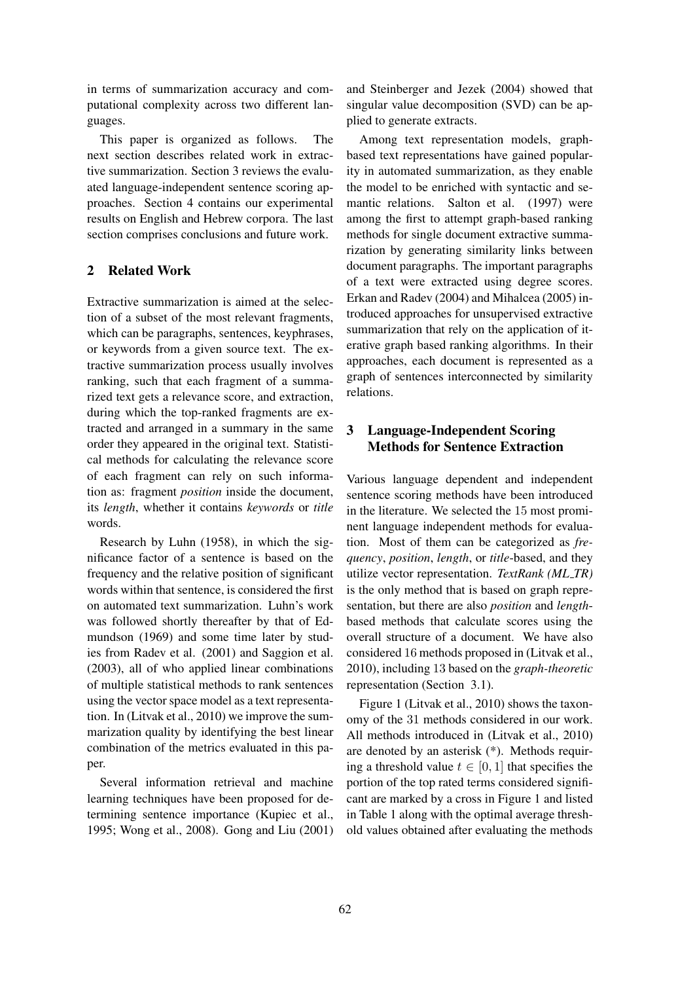in terms of summarization accuracy and computational complexity across two different languages.

This paper is organized as follows. The next section describes related work in extractive summarization. Section 3 reviews the evaluated language-independent sentence scoring approaches. Section 4 contains our experimental results on English and Hebrew corpora. The last section comprises conclusions and future work.

## 2 Related Work

Extractive summarization is aimed at the selection of a subset of the most relevant fragments, which can be paragraphs, sentences, keyphrases, or keywords from a given source text. The extractive summarization process usually involves ranking, such that each fragment of a summarized text gets a relevance score, and extraction, during which the top-ranked fragments are extracted and arranged in a summary in the same order they appeared in the original text. Statistical methods for calculating the relevance score of each fragment can rely on such information as: fragment *position* inside the document, its *length*, whether it contains *keywords* or *title* words.

Research by Luhn (1958), in which the significance factor of a sentence is based on the frequency and the relative position of significant words within that sentence, is considered the first on automated text summarization. Luhn's work was followed shortly thereafter by that of Edmundson (1969) and some time later by studies from Radev et al. (2001) and Saggion et al. (2003), all of who applied linear combinations of multiple statistical methods to rank sentences using the vector space model as a text representation. In (Litvak et al., 2010) we improve the summarization quality by identifying the best linear combination of the metrics evaluated in this paper.

Several information retrieval and machine learning techniques have been proposed for determining sentence importance (Kupiec et al., 1995; Wong et al., 2008). Gong and Liu (2001) and Steinberger and Jezek (2004) showed that singular value decomposition (SVD) can be applied to generate extracts.

Among text representation models, graphbased text representations have gained popularity in automated summarization, as they enable the model to be enriched with syntactic and semantic relations. Salton et al. (1997) were among the first to attempt graph-based ranking methods for single document extractive summarization by generating similarity links between document paragraphs. The important paragraphs of a text were extracted using degree scores. Erkan and Radev (2004) and Mihalcea (2005) introduced approaches for unsupervised extractive summarization that rely on the application of iterative graph based ranking algorithms. In their approaches, each document is represented as a graph of sentences interconnected by similarity relations.

## 3 Language-Independent Scoring Methods for Sentence Extraction

Various language dependent and independent sentence scoring methods have been introduced in the literature. We selected the 15 most prominent language independent methods for evaluation. Most of them can be categorized as *frequency*, *position*, *length*, or *title*-based, and they utilize vector representation. *TextRank* (ML\_TR) is the only method that is based on graph representation, but there are also *position* and *length*based methods that calculate scores using the overall structure of a document. We have also considered 16 methods proposed in (Litvak et al., 2010), including 13 based on the *graph-theoretic* representation (Section 3.1).

Figure 1 (Litvak et al., 2010) shows the taxonomy of the 31 methods considered in our work. All methods introduced in (Litvak et al., 2010) are denoted by an asterisk (\*). Methods requiring a threshold value  $t \in [0, 1]$  that specifies the portion of the top rated terms considered significant are marked by a cross in Figure 1 and listed in Table 1 along with the optimal average threshold values obtained after evaluating the methods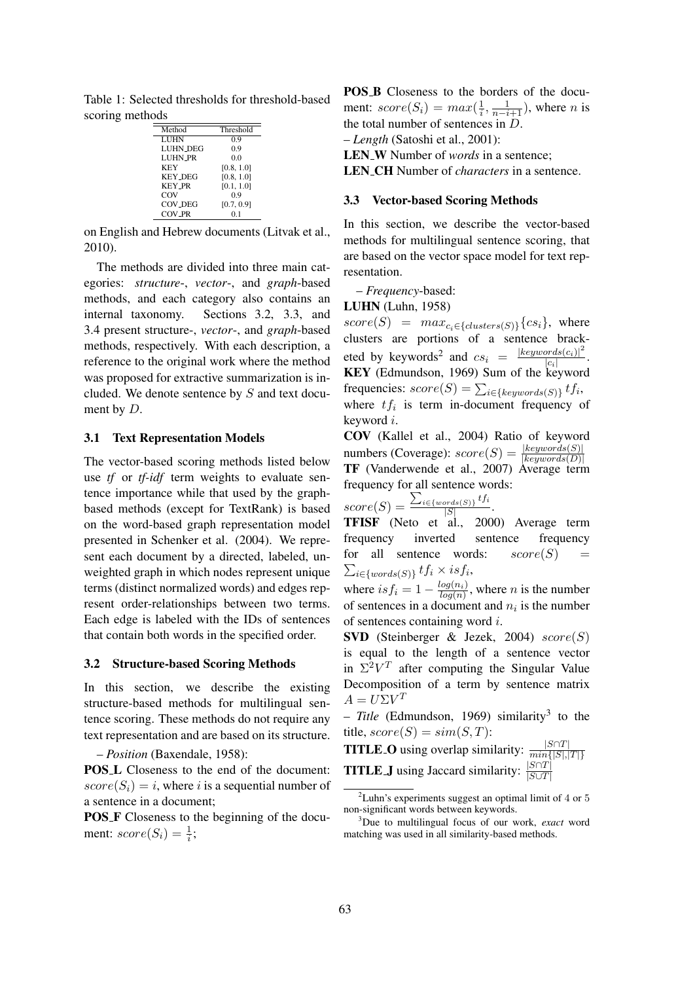Table 1: Selected thresholds for threshold-based scoring methods

| Method          | Threshold  |
|-----------------|------------|
| <b>LUHN</b>     | 0.9        |
| <b>LUHN_DEG</b> | 0.9        |
| <b>LUHN_PR</b>  | 0.0        |
| <b>KEY</b>      | [0.8, 1.0] |
| <b>KEY_DEG</b>  | [0.8, 1.0] |
| <b>KEY_PR</b>   | [0.1, 1.0] |
| COV             | 0.9        |
| COV_DEG         | [0.7, 0.9] |
| COV_PR          |            |

on English and Hebrew documents (Litvak et al., 2010).

The methods are divided into three main categories: *structure*-, *vector*-, and *graph*-based methods, and each category also contains an internal taxonomy. Sections 3.2, 3.3, and 3.4 present structure-, *vector*-, and *graph*-based methods, respectively. With each description, a reference to the original work where the method was proposed for extractive summarization is included. We denote sentence by S and text document by *D*.

#### 3.1 Text Representation Models

The vector-based scoring methods listed below use *tf* or *tf-idf* term weights to evaluate sentence importance while that used by the graphbased methods (except for TextRank) is based on the word-based graph representation model presented in Schenker et al. (2004). We represent each document by a directed, labeled, unweighted graph in which nodes represent unique terms (distinct normalized words) and edges represent order-relationships between two terms. Each edge is labeled with the IDs of sentences that contain both words in the specified order.

#### 3.2 Structure-based Scoring Methods

In this section, we describe the existing structure-based methods for multilingual sentence scoring. These methods do not require any text representation and are based on its structure.

– *Position* (Baxendale, 1958):

POS<sub>L</sub> Closeness to the end of the document:  $score(S_i) = i$ , where i is a sequential number of a sentence in a document;

POS F Closeness to the beginning of the document:  $score(S_i) = \frac{1}{i}$ ;

POS B Closeness to the borders of the document:  $score(S_i) = max(\frac{1}{i})$  $\frac{1}{i}, \frac{1}{n-i+1}$ ), where *n* is the total number of sentences in D. – *Length* (Satoshi et al., 2001):

LEN<sub>W</sub> Number of *words* in a sentence;

LEN CH Number of *characters* in a sentence.

#### 3.3 Vector-based Scoring Methods

In this section, we describe the vector-based methods for multilingual sentence scoring, that are based on the vector space model for text representation.

– *Frequency*-based:

LUHN (Luhn, 1958)

 $score(S) = max_{c_i \in \{clusters(S)\}} \{cs_i\}$ , where clusters are portions of a sentence bracketed by keywords<sup>2</sup> and  $cs_i = \frac{|keywords(c_i)|^2}{|c_i|}$  $\frac{|c_i|}{|c_i|}$ . KEY (Edmundson, 1969) Sum of the keyword frequencies:  $score(S) = \sum_{i \in \{keywords(S)\}} tf_i,$ where  $tf_i$  is term in-document frequency of keyword i.

COV (Kallel et al., 2004) Ratio of keyword numbers (Coverage):  $score(S) = \frac{|keywords(S)|}{|keywords(D)|}$ TF (Vanderwende et al., 2007) Average term frequency for all sentence words:

$$
score(S) = \frac{\sum_{i \in \{words(S)\}} tf_i}{|S|}
$$

 $\frac{|S|}{\text{TFISF}}$  (Neto et al., 2000) Average term frequency inverted sentence frequency for all sentence words:  $score(S)$  $\sum_{i\in\{words(S)\}} tf_i \times isf_i,$ 

.

where  $isf_i = 1 - \frac{log(n_i)}{log(n)}$  $\frac{\log(n_i)}{\log(n)}$ , where *n* is the number of sentences in a document and  $n_i$  is the number of sentences containing word i.

**SVD** (Steinberger & Jezek, 2004)  $score(S)$ is equal to the length of a sentence vector in  $\Sigma^2 V^T$  after computing the Singular Value Decomposition of a term by sentence matrix  $A = U\Sigma V^T$ 

– *Title* (Edmundson, 1969) similarity<sup>3</sup> to the title,  $score(S) = sim(S, T)$ :

**TITLE\_O** using overlap similarity:  $\frac{|S \cap T|}{min\{|S|,|T|\}}$ **TITLE** J using Jaccard similarity:  $\frac{|S \cap T|}{|S \cup T|}$ 

 $2$ Luhn's experiments suggest an optimal limit of 4 or 5 non-significant words between keywords.

<sup>3</sup>Due to multilingual focus of our work, *exact* word matching was used in all similarity-based methods.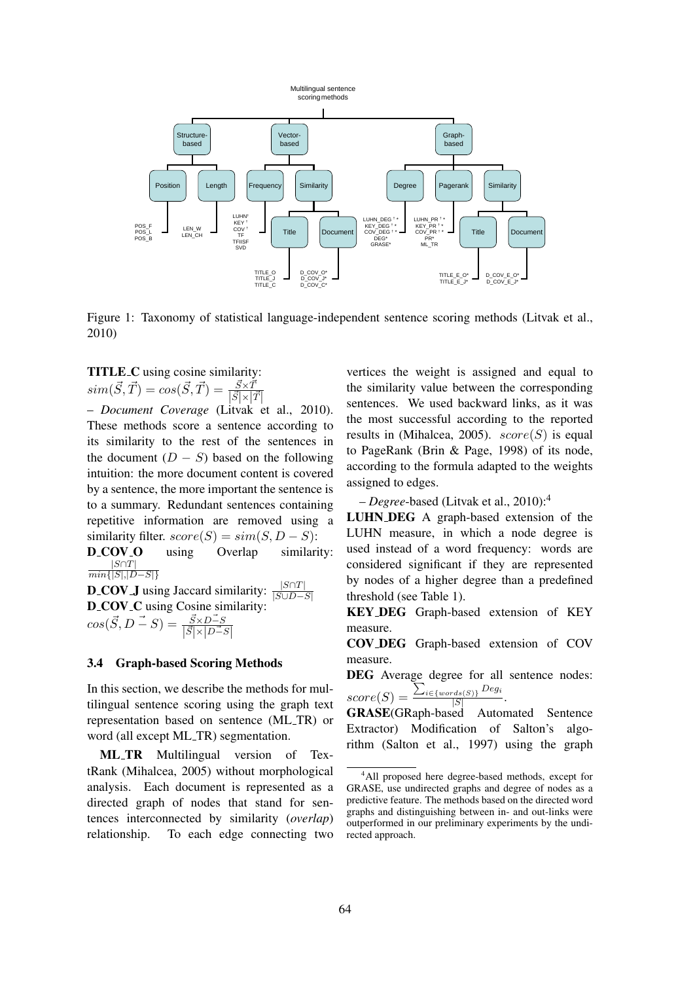

Figure 1: Taxonomy of statistical language-independent sentence scoring methods (Litvak et al., 2010)

TITLE C using cosine similarity:  $sim(\vec{S}, \vec{T}) = cos(\vec{S}, \vec{T}) = \frac{\vec{S} \times \vec{T}}{|\vec{S}|\times \vec{T}|}$  $|\vec{S}| \times |\vec{T}|$ 

– *Document Coverage* (Litvak et al., 2010). These methods score a sentence according to its similarity to the rest of the sentences in the document  $(D - S)$  based on the following intuition: the more document content is covered by a sentence, the more important the sentence is to a summary. Redundant sentences containing repetitive information are removed using a similarity filter.  $score(S) = sim(S, D - S)$ :<br>**D\_COV\_O** using Overlap similarity:

D\_COV\_O  $|S \cap T|$  $\overline{min\{|S|,|D-S|\}}$ 

**D\_COV\_J** using Jaccard similarity:  $\frac{|S \cap T|}{|S \cup D - S|}$ D<sub>-C</sub>OV<sub>-C</sub> using Cosine similarity:  $cos(\vec{S}, D - \vec{S}) = \frac{\vec{S} \times D - \vec{S}}{|\vec{S}| \times |\vec{D} - \vec{S}|}$ 

## 3.4 Graph-based Scoring Methods

In this section, we describe the methods for multilingual sentence scoring using the graph text representation based on sentence (ML TR) or word (all except ML\_TR) segmentation.

ML TR Multilingual version of TextRank (Mihalcea, 2005) without morphological analysis. Each document is represented as a directed graph of nodes that stand for sentences interconnected by similarity (*overlap*) relationship. To each edge connecting two

vertices the weight is assigned and equal to the similarity value between the corresponding sentences. We used backward links, as it was the most successful according to the reported results in (Mihalcea, 2005).  $score(S)$  is equal to PageRank (Brin & Page, 1998) of its node, according to the formula adapted to the weights assigned to edges.

– *Degree*-based (Litvak et al., 2010):<sup>4</sup>

LUHN DEG A graph-based extension of the LUHN measure, in which a node degree is used instead of a word frequency: words are considered significant if they are represented by nodes of a higher degree than a predefined threshold (see Table 1).

KEY DEG Graph-based extension of KEY measure.

COV DEG Graph-based extension of COV measure.

DEG Average degree for all sentence nodes:  $score(S) =$  $\sum_{i \in \{words(S)\}}$  Deg<sub>i</sub> .

 $|S|$ GRASE(GRaph-based Automated Sentence Extractor) Modification of Salton's algorithm (Salton et al., 1997) using the graph

<sup>4</sup>All proposed here degree-based methods, except for GRASE, use undirected graphs and degree of nodes as a predictive feature. The methods based on the directed word graphs and distinguishing between in- and out-links were outperformed in our preliminary experiments by the undirected approach.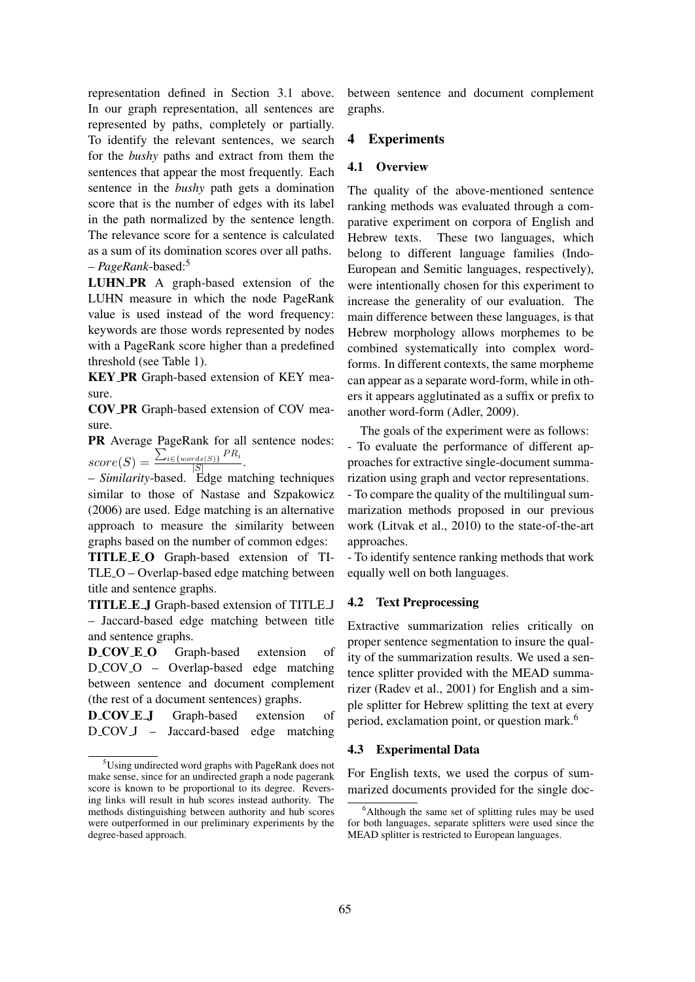representation defined in Section 3.1 above. In our graph representation, all sentences are represented by paths, completely or partially. To identify the relevant sentences, we search for the *bushy* paths and extract from them the sentences that appear the most frequently. Each sentence in the *bushy* path gets a domination score that is the number of edges with its label in the path normalized by the sentence length. The relevance score for a sentence is calculated as a sum of its domination scores over all paths. – *PageRank*-based:<sup>5</sup>

LUHN PR A graph-based extension of the LUHN measure in which the node PageRank value is used instead of the word frequency: keywords are those words represented by nodes with a PageRank score higher than a predefined threshold (see Table 1).

KEY PR Graph-based extension of KEY measure.

COV PR Graph-based extension of COV measure.

PR Average PageRank for all sentence nodes:  $score(S) =$  $\sum_{i \in \{words(S)\}} PR_i$  $\frac{rds(S)}{|S|}$ .

– *Similarity*-based. Edge matching techniques similar to those of Nastase and Szpakowicz (2006) are used. Edge matching is an alternative approach to measure the similarity between graphs based on the number of common edges:

TITLE E O Graph-based extension of TI-TLE O – Overlap-based edge matching between title and sentence graphs.

TITLE E J Graph-based extension of TITLE J – Jaccard-based edge matching between title and sentence graphs.

D\_COV\_E\_O Graph-based extension of D\_COV\_O – Overlap-based edge matching between sentence and document complement (the rest of a document sentences) graphs.

D\_COV\_E\_J Graph-based extension of D\_COV\_J – Jaccard-based edge matching

between sentence and document complement graphs.

## 4 Experiments

#### 4.1 Overview

The quality of the above-mentioned sentence ranking methods was evaluated through a comparative experiment on corpora of English and Hebrew texts. These two languages, which belong to different language families (Indo-European and Semitic languages, respectively), were intentionally chosen for this experiment to increase the generality of our evaluation. The main difference between these languages, is that Hebrew morphology allows morphemes to be combined systematically into complex wordforms. In different contexts, the same morpheme can appear as a separate word-form, while in others it appears agglutinated as a suffix or prefix to another word-form (Adler, 2009).

The goals of the experiment were as follows: - To evaluate the performance of different approaches for extractive single-document summarization using graph and vector representations. - To compare the quality of the multilingual summarization methods proposed in our previous

work (Litvak et al., 2010) to the state-of-the-art approaches. - To identify sentence ranking methods that work

equally well on both languages.

#### 4.2 Text Preprocessing

Extractive summarization relies critically on proper sentence segmentation to insure the quality of the summarization results. We used a sentence splitter provided with the MEAD summarizer (Radev et al., 2001) for English and a simple splitter for Hebrew splitting the text at every period, exclamation point, or question mark.<sup>6</sup>

#### 4.3 Experimental Data

For English texts, we used the corpus of summarized documents provided for the single doc-

<sup>5</sup>Using undirected word graphs with PageRank does not make sense, since for an undirected graph a node pagerank score is known to be proportional to its degree. Reversing links will result in hub scores instead authority. The methods distinguishing between authority and hub scores were outperformed in our preliminary experiments by the degree-based approach.

<sup>&</sup>lt;sup>6</sup>Although the same set of splitting rules may be used for both languages, separate splitters were used since the MEAD splitter is restricted to European languages.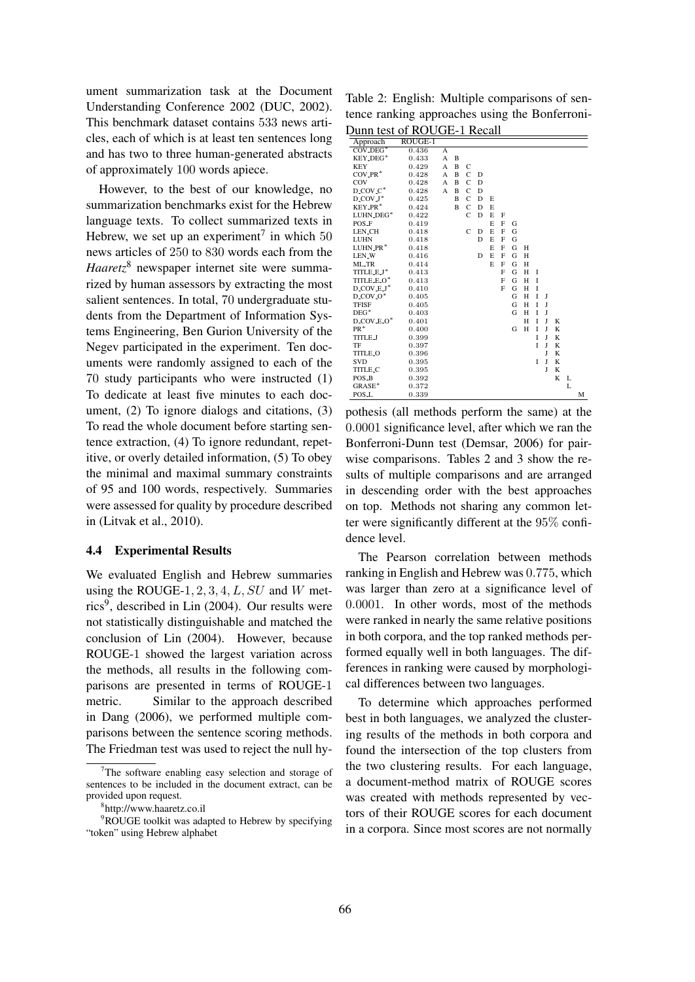ument summarization task at the Document Understanding Conference 2002 (DUC, 2002). This benchmark dataset contains 533 news articles, each of which is at least ten sentences long and has two to three human-generated abstracts of approximately 100 words apiece.

However, to the best of our knowledge, no summarization benchmarks exist for the Hebrew language texts. To collect summarized texts in Hebrew, we set up an experiment<sup>7</sup> in which  $50$ news articles of 250 to 830 words each from the *Haaretz*<sup>8</sup> newspaper internet site were summarized by human assessors by extracting the most salient sentences. In total, 70 undergraduate students from the Department of Information Systems Engineering, Ben Gurion University of the Negev participated in the experiment. Ten documents were randomly assigned to each of the 70 study participants who were instructed (1) To dedicate at least five minutes to each document, (2) To ignore dialogs and citations, (3) To read the whole document before starting sentence extraction, (4) To ignore redundant, repetitive, or overly detailed information, (5) To obey the minimal and maximal summary constraints of 95 and 100 words, respectively. Summaries were assessed for quality by procedure described in (Litvak et al., 2010).

#### 4.4 Experimental Results

We evaluated English and Hebrew summaries using the ROUGE-1, 2, 3, 4,  $L$ ,  $SU$  and  $W$  metrics<sup>9</sup>, described in Lin (2004). Our results were not statistically distinguishable and matched the conclusion of Lin (2004). However, because ROUGE-1 showed the largest variation across the methods, all results in the following comparisons are presented in terms of ROUGE-1 metric. Similar to the approach described in Dang (2006), we performed multiple comparisons between the sentence scoring methods. The Friedman test was used to reject the null hy-

Table 2: English: Multiple comparisons of sentence ranking approaches using the Bonferroni-Dunn test of ROUGE-1 Recall

| Approach                                             | ROUGE-1 |   |                |               |   |   |   |   |   |   |   |   |   |   |
|------------------------------------------------------|---------|---|----------------|---------------|---|---|---|---|---|---|---|---|---|---|
| $COV$ DEG <sup>*</sup>                               | 0.436   | A |                |               |   |   |   |   |   |   |   |   |   |   |
| KEY_DEG*                                             | 0.433   | A | B              |               |   |   |   |   |   |   |   |   |   |   |
| <b>KEY</b>                                           | 0.429   | A | B              | C             |   |   |   |   |   |   |   |   |   |   |
| $COV.PR*$                                            | 0.428   | A | B              | $\mathsf{C}$  | D |   |   |   |   |   |   |   |   |   |
| COV                                                  | 0.428   | A | B              | $\mathbf C$   | D |   |   |   |   |   |   |   |   |   |
| $D$ <sub>C</sub> OV <sub>-C</sub> <sup>*</sup>       | 0.428   | A | $\overline{B}$ | $\mathcal{C}$ | D |   |   |   |   |   |   |   |   |   |
| $D$ <sub>-COV</sub> $J^*$                            | 0.425   |   | B              | $\mathcal{C}$ | D | E |   |   |   |   |   |   |   |   |
| KEY_PR <sup>*</sup>                                  | 0.424   |   | B              | $\mathbf C$   | D | E |   |   |   |   |   |   |   |   |
| LUHN_DEG*                                            | 0.422   |   |                | $\mathbf C$   | D | E | F |   |   |   |   |   |   |   |
| POS_F                                                | 0.419   |   |                |               |   | E | F | G |   |   |   |   |   |   |
| <b>LEN_CH</b>                                        | 0.418   |   |                | $\mathsf{C}$  | D | E | F | G |   |   |   |   |   |   |
| <b>LUHN</b>                                          | 0.418   |   |                |               | D | E | F | G |   |   |   |   |   |   |
| LUHN_PR*                                             | 0.418   |   |                |               |   | E | F | G | H |   |   |   |   |   |
| LEN <sub>-</sub> W                                   | 0.416   |   |                |               | D | E | F | G | H |   |   |   |   |   |
| ML_TR                                                | 0.414   |   |                |               |   | E | F | G | H |   |   |   |   |   |
| TITLE_E_J*                                           | 0.413   |   |                |               |   |   | F | G | H | I |   |   |   |   |
| TITLE_E_O*                                           | 0.413   |   |                |               |   |   | F | G | H | T |   |   |   |   |
| $D$ <sub>COV</sub> $E$ <sup>*</sup>                  | 0.410   |   |                |               |   |   | F | G | H | I |   |   |   |   |
| $D$ <sub>-COV</sub> - $O^*$                          | 0.405   |   |                |               |   |   |   | G | H | T | J |   |   |   |
| <b>TFISF</b>                                         | 0.405   |   |                |               |   |   |   | G | H | T | J |   |   |   |
| $DEG^*$                                              | 0.403   |   |                |               |   |   |   | G | H | Ī | J |   |   |   |
| $D$ <sub>-COV</sub> - $E$ <sub>-O</sub> <sup>*</sup> | 0.401   |   |                |               |   |   |   |   | H | T | J | K |   |   |
| $PR^*$                                               | 0.400   |   |                |               |   |   |   | G | H | Ī | J | K |   |   |
| <b>TITLE_J</b>                                       | 0.399   |   |                |               |   |   |   |   |   | T | J | K |   |   |
| TF                                                   | 0.397   |   |                |               |   |   |   |   |   | T | T | K |   |   |
| <b>TITLE_O</b>                                       | 0.396   |   |                |               |   |   |   |   |   |   | T | K |   |   |
| <b>SVD</b>                                           | 0.395   |   |                |               |   |   |   |   |   | Ī | J | K |   |   |
| <b>TITLE_C</b>                                       | 0.395   |   |                |               |   |   |   |   |   |   | J | K |   |   |
| POS_B                                                | 0.392   |   |                |               |   |   |   |   |   |   |   | K | L |   |
| GRASE*                                               | 0.372   |   |                |               |   |   |   |   |   |   |   |   | L |   |
| POS_L                                                | 0.339   |   |                |               |   |   |   |   |   |   |   |   |   | M |

pothesis (all methods perform the same) at the 0.0001 significance level, after which we ran the Bonferroni-Dunn test (Demsar, 2006) for pairwise comparisons. Tables 2 and 3 show the results of multiple comparisons and are arranged in descending order with the best approaches on top. Methods not sharing any common letter were significantly different at the 95% confidence level.

The Pearson correlation between methods ranking in English and Hebrew was 0.775, which was larger than zero at a significance level of 0.0001. In other words, most of the methods were ranked in nearly the same relative positions in both corpora, and the top ranked methods performed equally well in both languages. The differences in ranking were caused by morphological differences between two languages.

To determine which approaches performed best in both languages, we analyzed the clustering results of the methods in both corpora and found the intersection of the top clusters from the two clustering results. For each language, a document-method matrix of ROUGE scores was created with methods represented by vectors of their ROUGE scores for each document in a corpora. Since most scores are not normally

 $7$ The software enabling easy selection and storage of sentences to be included in the document extract, can be provided upon request.

<sup>8</sup> http://www.haaretz.co.il

<sup>&</sup>lt;sup>9</sup>ROUGE toolkit was adapted to Hebrew by specifying "token" using Hebrew alphabet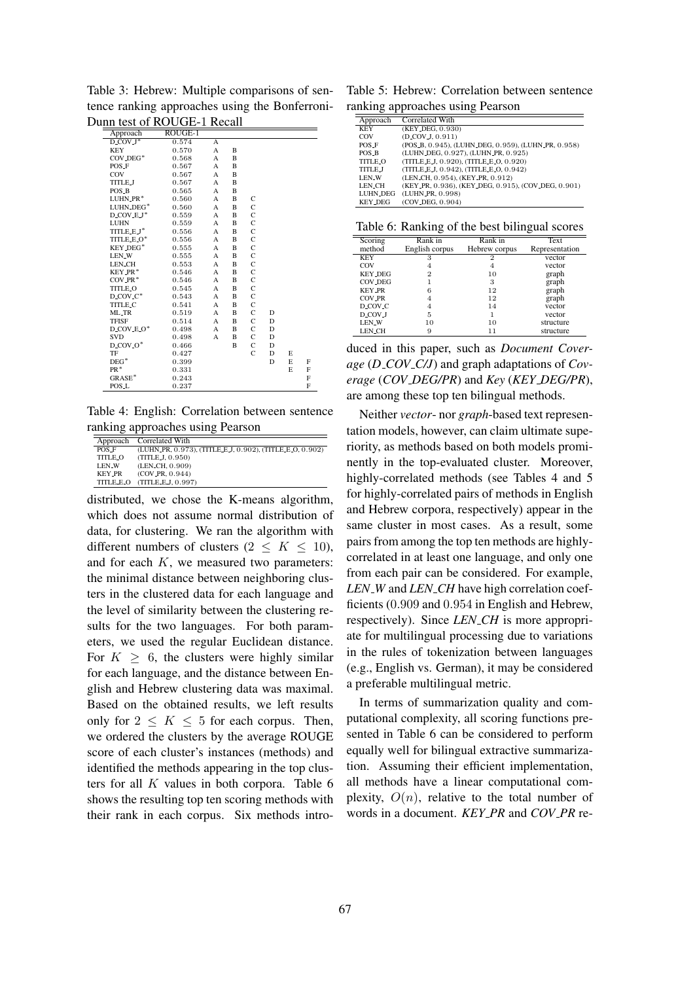|                                       | nn iest of ROUGE-t Recall |   |   |                |   |   |   |
|---------------------------------------|---------------------------|---|---|----------------|---|---|---|
| Approach                              | ROUGE-1                   |   |   |                |   |   |   |
| $D$ <sub>COV</sub> $J^*$              | 0.574                     | А |   |                |   |   |   |
| KEY                                   | 0.570                     | A | B |                |   |   |   |
| $COV$ <sub>-DEG</sub> $*$             | 0.568                     | A | B |                |   |   |   |
| POS_F                                 | 0.567                     | A | B |                |   |   |   |
| COV                                   | 0.567                     | A | B |                |   |   |   |
| <b>TITLE_J</b>                        | 0.567                     | A | B |                |   |   |   |
| POS_B                                 | 0.565                     | A | B |                |   |   |   |
| $LUHN.PR*$                            | 0.560                     | A | B | C              |   |   |   |
| LUHN_DEG*                             | 0.560                     | A | B | C              |   |   |   |
| D_COV_E_J*                            | 0.559                     | A | B | $\overline{C}$ |   |   |   |
| <b>LUHN</b>                           | 0.559                     | A | B | $\overline{C}$ |   |   |   |
| TITLE_E_J*                            | 0.556                     | A | B | C              |   |   |   |
| TITLE_E_O*                            | 0.556                     | A | B | $\mathbf C$    |   |   |   |
| KEY_DEG*                              | 0.555                     | A | B | $\mathbf C$    |   |   |   |
| LEN_W                                 | 0.555                     | A | B | C              |   |   |   |
| <b>LEN_CH</b>                         | 0.553                     | A | B | C              |   |   |   |
| KEY_PR <sup>*</sup>                   | 0.546                     | A | B | $\mathbf C$    |   |   |   |
| $COV$ <sub>-PR</sub> $*$              | 0.546                     | A | B | $\mathbf C$    |   |   |   |
| <b>TITLE_O</b>                        | 0.545                     | A | B | $\overline{C}$ |   |   |   |
| D_COV_C*                              | 0.543                     | A | B | C              |   |   |   |
| <b>TITLE_C</b>                        | 0.541                     | A | B | $\mathbf C$    |   |   |   |
| ML_TR                                 | 0.519                     | A | B | $\mathbf C$    | D |   |   |
| <b>TFISF</b>                          | 0.514                     | A | B | C              | D |   |   |
| $D$ <sub>COV</sub> $E_0$ <sup>*</sup> | 0.498                     | A | B | $\overline{C}$ | D |   |   |
| <b>SVD</b>                            | 0.498                     | A | B | C              | D |   |   |
| $D_{\text{LOV}}O^*$                   | 0.466                     |   | B | C              | D |   |   |
| TF                                    | 0.427                     |   |   | $\overline{C}$ | D | E |   |
| $DEG^*$                               | 0.399                     |   |   |                | D | E | F |
| $PR^*$                                | 0.331                     |   |   |                |   | E | F |
| GRASE <sup>*</sup>                    | 0.243                     |   |   |                |   |   | F |
| POS_L                                 | 0.237                     |   |   |                |   |   | F |

Table 3: Hebrew: Multiple comparisons of sentence ranking approaches using the Bonferroni-Dunn test of ROUGE-1 Recall

Table 4: English: Correlation between sentence ranking approaches using Pearson

|                     | Approach Correlated With                                 |
|---------------------|----------------------------------------------------------|
| POS F               | (LUHN_PR, 0.973), (TITLE_E_J, 0.902), (TITLE_E_O, 0.902) |
| TITLE <sub>-O</sub> | (TITLEJ. 0.950)                                          |
| LEN <sub>-</sub> W  | (LEN_CH, 0.909)                                          |
| KEY_PR              | (COV PR. 0.944)                                          |
|                     | TITLE E.O (TITLE E.J. 0.997)                             |

distributed, we chose the K-means algorithm, which does not assume normal distribution of data, for clustering. We ran the algorithm with different numbers of clusters  $(2 \leq K \leq 10)$ , and for each  $K$ , we measured two parameters: the minimal distance between neighboring clusters in the clustered data for each language and the level of similarity between the clustering results for the two languages. For both parameters, we used the regular Euclidean distance. For  $K \geq 6$ , the clusters were highly similar for each language, and the distance between English and Hebrew clustering data was maximal. Based on the obtained results, we left results only for  $2 \leq K \leq 5$  for each corpus. Then, we ordered the clusters by the average ROUGE score of each cluster's instances (methods) and identified the methods appearing in the top clusters for all  $K$  values in both corpora. Table 6 shows the resulting top ten scoring methods with their rank in each corpus. Six methods intro-

Table 5: Hebrew: Correlation between sentence ranking approaches using Pearson

| Approach        | Correlated With                                     |
|-----------------|-----------------------------------------------------|
| <b>KEY</b>      | (KEY_DEG, 0.930)                                    |
| COV             | $(D-COV J, 0.911)$                                  |
| POS F           | (POS_B, 0.945), (LUHN_DEG, 0.959), (LUHN_PR, 0.958) |
| POS B           | (LUHN_DEG, 0.927), (LUHN_PR, 0.925)                 |
| <b>TITLE_O</b>  | (TITLE_E_J, 0.920), (TITLE_E_O, 0.920)              |
| TITLE J         | (TITLE_E_J, 0.942), (TITLE_E_O, 0.942)              |
| <b>LEN_W</b>    | (LEN_CH, 0.954), (KEY_PR, 0.912)                    |
| LEN_CH          | (KEY_PR, 0.936), (KEY_DEG, 0.915), (COV_DEG, 0.901) |
| <b>LUHN_DEG</b> | (LUHN_PR. 0.998)                                    |
| <b>KEY DEG</b>  | (COV_DEG, 0.904)                                    |

Table 6: Ranking of the best bilingual scores

| Scoring          | Rank in        | Rank in       | Text           |
|------------------|----------------|---------------|----------------|
| method           | English corpus | Hebrew corpus | Representation |
| <b>KEY</b>       | 3              | 2             | vector         |
| COV              | 4              | 4             | vector         |
| <b>KEY_DEG</b>   | $\mathbf{2}$   | 10            | graph          |
| <b>COV_DEG</b>   |                | 3             | graph          |
| <b>KEY_PR</b>    | 6              | 12            | graph          |
| COV_PR           | 4              | 12            | graph          |
| D_COV_C          | 4              | 14            | vector         |
| D <sub>COV</sub> | 5              |               | vector         |
| LEN_W            | 10             | 10            | structure      |
| <b>LEN_CH</b>    | 9              | 11            | structure      |
|                  |                |               |                |

duced in this paper, such as *Document Coverage* (*D COV C/J*) and graph adaptations of *Coverage* (*COV DEG/PR*) and *Key* (*KEY DEG/PR*), are among these top ten bilingual methods.

Neither *vector*- nor *graph*-based text representation models, however, can claim ultimate superiority, as methods based on both models prominently in the top-evaluated cluster. Moreover, highly-correlated methods (see Tables 4 and 5 for highly-correlated pairs of methods in English and Hebrew corpora, respectively) appear in the same cluster in most cases. As a result, some pairs from among the top ten methods are highlycorrelated in at least one language, and only one from each pair can be considered. For example, *LEN W* and *LEN CH* have high correlation coefficients (0.909 and 0.954 in English and Hebrew, respectively). Since *LEN CH* is more appropriate for multilingual processing due to variations in the rules of tokenization between languages (e.g., English vs. German), it may be considered a preferable multilingual metric.

In terms of summarization quality and computational complexity, all scoring functions presented in Table 6 can be considered to perform equally well for bilingual extractive summarization. Assuming their efficient implementation, all methods have a linear computational complexity,  $O(n)$ , relative to the total number of words in a document. *KEY PR* and *COV PR* re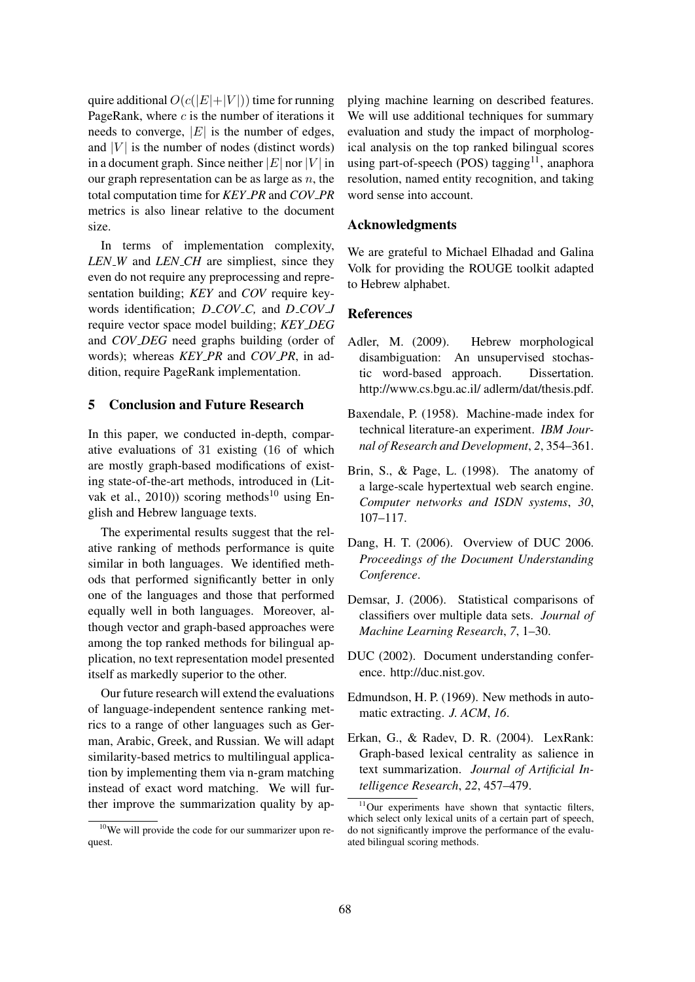quire additional  $O(c(|E|+|V|))$  time for running PageRank, where  $c$  is the number of iterations it needs to converge,  $|E|$  is the number of edges, and  $|V|$  is the number of nodes (distinct words) in a document graph. Since neither  $|E|$  nor  $|V|$  in our graph representation can be as large as  $n$ , the total computation time for *KEY PR* and *COV PR* metrics is also linear relative to the document size.

In terms of implementation complexity, *LEN W* and *LEN CH* are simpliest, since they even do not require any preprocessing and representation building; *KEY* and *COV* require keywords identification; *D COV C,* and *D COV J* require vector space model building; *KEY DEG* and *COV DEG* need graphs building (order of words); whereas *KEY PR* and *COV PR*, in addition, require PageRank implementation.

## 5 Conclusion and Future Research

In this paper, we conducted in-depth, comparative evaluations of 31 existing (16 of which are mostly graph-based modifications of existing state-of-the-art methods, introduced in (Litvak et al., 2010)) scoring methods<sup>10</sup> using English and Hebrew language texts.

The experimental results suggest that the relative ranking of methods performance is quite similar in both languages. We identified methods that performed significantly better in only one of the languages and those that performed equally well in both languages. Moreover, although vector and graph-based approaches were among the top ranked methods for bilingual application, no text representation model presented itself as markedly superior to the other.

Our future research will extend the evaluations of language-independent sentence ranking metrics to a range of other languages such as German, Arabic, Greek, and Russian. We will adapt similarity-based metrics to multilingual application by implementing them via n-gram matching instead of exact word matching. We will further improve the summarization quality by applying machine learning on described features. We will use additional techniques for summary evaluation and study the impact of morphological analysis on the top ranked bilingual scores using part-of-speech (POS) tagging<sup>11</sup>, anaphora resolution, named entity recognition, and taking word sense into account.

#### Acknowledgments

We are grateful to Michael Elhadad and Galina Volk for providing the ROUGE toolkit adapted to Hebrew alphabet.

### References

- Adler, M. (2009). Hebrew morphological disambiguation: An unsupervised stochastic word-based approach. Dissertation. http://www.cs.bgu.ac.il/ adlerm/dat/thesis.pdf.
- Baxendale, P. (1958). Machine-made index for technical literature-an experiment. *IBM Journal of Research and Development*, *2*, 354–361.
- Brin, S., & Page, L. (1998). The anatomy of a large-scale hypertextual web search engine. *Computer networks and ISDN systems*, *30*, 107–117.
- Dang, H. T. (2006). Overview of DUC 2006. *Proceedings of the Document Understanding Conference*.
- Demsar, J. (2006). Statistical comparisons of classifiers over multiple data sets. *Journal of Machine Learning Research*, *7*, 1–30.
- DUC (2002). Document understanding conference. http://duc.nist.gov.
- Edmundson, H. P. (1969). New methods in automatic extracting. *J. ACM*, *16*.
- Erkan, G., & Radev, D. R. (2004). LexRank: Graph-based lexical centrality as salience in text summarization. *Journal of Artificial Intelligence Research*, *22*, 457–479.

<sup>10</sup>We will provide the code for our summarizer upon request.

<sup>&</sup>lt;sup>11</sup>Our experiments have shown that syntactic filters, which select only lexical units of a certain part of speech, do not significantly improve the performance of the evaluated bilingual scoring methods.